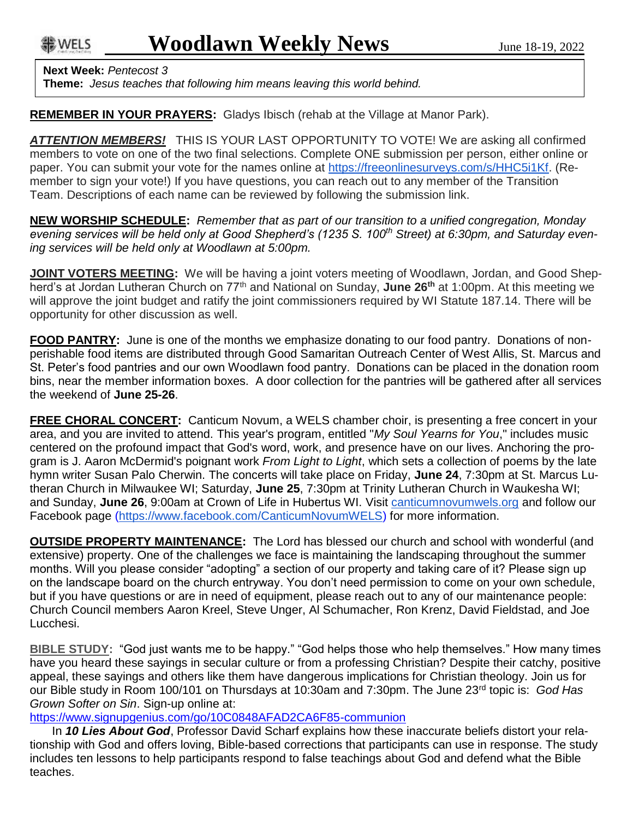<del>能</del> WELS

**Next Week:** *Pentecost 3*

**Theme:** *Jesus teaches that following him means leaving this world behind.*

**REMEMBER IN YOUR PRAYERS:** Gladys Ibisch (rehab at the Village at Manor Park).

*ATTENTION MEMBERS!* THIS IS YOUR LAST OPPORTUNITY TO VOTE! We are asking all confirmed members to vote on one of the two final selections. Complete ONE submission per person, either online or paper. You can submit your vote for the names online at [https://freeonlinesurveys.com/s/HHC5i1Kf.](https://freeonlinesurveys.com/s/HHC5i1Kf) (Remember to sign your vote!) If you have questions, you can reach out to any member of the Transition Team. Descriptions of each name can be reviewed by following the submission link.

**NEW WORSHIP SCHEDULE:** *Remember that as part of our transition to a unified congregation, Monday evening services will be held only at Good Shepherd's (1235 S. 100th Street) at 6:30pm, and Saturday evening services will be held only at Woodlawn at 5:00pm.*

**JOINT VOTERS MEETING:** We will be having a joint voters meeting of Woodlawn, Jordan, and Good Shepherd's at Jordan Lutheran Church on 77th and National on Sunday, **June 26th** at 1:00pm. At this meeting we will approve the joint budget and ratify the joint commissioners required by WI Statute 187.14. There will be opportunity for other discussion as well.

**FOOD PANTRY:** June is one of the months we emphasize donating to our food pantry. Donations of nonperishable food items are distributed through Good Samaritan Outreach Center of West Allis, St. Marcus and St. Peter's food pantries and our own Woodlawn food pantry. Donations can be placed in the donation room bins, near the member information boxes. A door collection for the pantries will be gathered after all services the weekend of **June 25-26**.

**FREE CHORAL CONCERT:** Canticum Novum, a WELS chamber choir, is presenting a free concert in your area, and you are invited to attend. This year's program, entitled "*My Soul Yearns for You*," includes music centered on the profound impact that God's word, work, and presence have on our lives. Anchoring the program is J. Aaron McDermid's poignant work *From Light to Light*, which sets a collection of poems by the late hymn writer Susan Palo Cherwin. The concerts will take place on Friday, **June 24**, 7:30pm at St. Marcus Lutheran Church in Milwaukee WI; Saturday, **June 25**, 7:30pm at Trinity Lutheran Church in Waukesha WI; and Sunday, **June 26**, 9:00am at Crown of Life in Hubertus WI. Visit [canticumnovumwels.org](http://canticumnovumwels.org/) and follow our Facebook page [\(https://www.facebook.com/CanticumNovumWELS\)](https://www.facebook.com/CanticumNovumWELS) for more information.

**OUTSIDE PROPERTY MAINTENANCE:** The Lord has blessed our church and school with wonderful (and extensive) property. One of the challenges we face is maintaining the landscaping throughout the summer months. Will you please consider "adopting" a section of our property and taking care of it? Please sign up on the landscape board on the church entryway. You don't need permission to come on your own schedule, but if you have questions or are in need of equipment, please reach out to any of our maintenance people: Church Council members Aaron Kreel, Steve Unger, Al Schumacher, Ron Krenz, David Fieldstad, and Joe Lucchesi.

**BIBLE STUDY:** "God just wants me to be happy." "God helps those who help themselves." How many times have you heard these sayings in secular culture or from a professing Christian? Despite their catchy, positive appeal, these sayings and others like them have dangerous implications for Christian theology. Join us for our Bible study in Room 100/101 on Thursdays at 10:30am and 7:30pm. The June 23rd topic is: *God Has Grown Softer on Sin*. Sign-up online at:

<https://www.signupgenius.com/go/10C0848AFAD2CA6F85-communion>

In *10 Lies About God*, Professor David Scharf explains how these inaccurate beliefs distort your relationship with God and offers loving, Bible-based corrections that participants can use in response. The study includes ten lessons to help participants respond to false teachings about God and defend what the Bible teaches.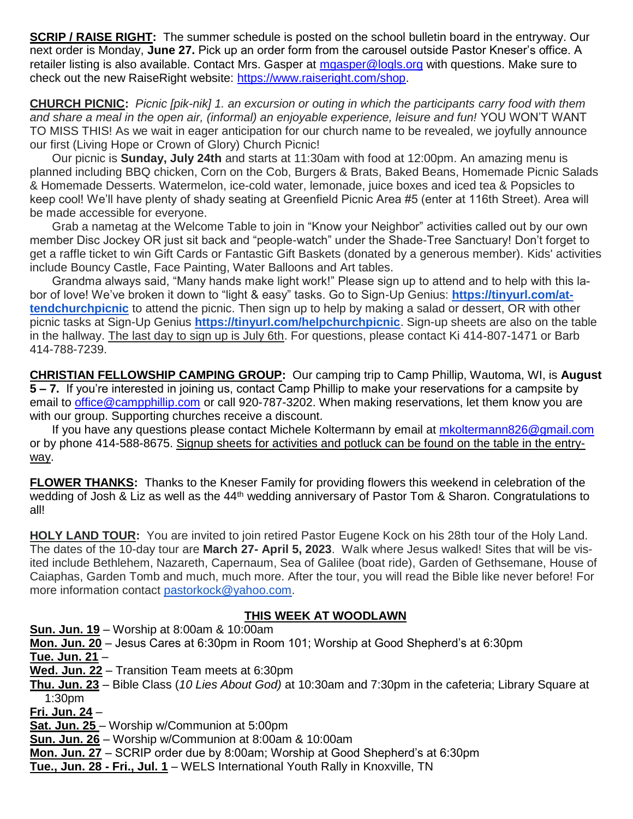**SCRIP / RAISE RIGHT:** The summer schedule is posted on the school bulletin board in the entryway. Our next order is Monday, **June 27.** Pick up an order form from the carousel outside Pastor Kneser's office. A retailer listing is also available. Contact Mrs. Gasper at [mgasper@logls.org](mailto:mgasper@logls.org) with questions. Make sure to check out the new RaiseRight website: [https://www.raiseright.com/shop.](https://www.raiseright.com/shop)

**CHURCH PICNIC:** *Picnic [pik-nik] 1. an excursion or outing in which the participants carry food with them and share a meal in the open air, (informal) an enjoyable experience, leisure and fun!* YOU WON'T WANT TO MISS THIS! As we wait in eager anticipation for our church name to be revealed, we joyfully announce our first (Living Hope or Crown of Glory) Church Picnic!

Our picnic is **Sunday, July 24th** and starts at 11:30am with food at 12:00pm. An amazing menu is planned including BBQ chicken, Corn on the Cob, Burgers & Brats, Baked Beans, Homemade Picnic Salads & Homemade Desserts. Watermelon, ice-cold water, lemonade, juice boxes and iced tea & Popsicles to keep cool! We'll have plenty of shady seating at Greenfield Picnic Area #5 (enter at 116th Street). Area will be made accessible for everyone.

Grab a nametag at the Welcome Table to join in "Know your Neighbor" activities called out by our own member Disc Jockey OR just sit back and "people-watch" under the Shade-Tree Sanctuary! Don't forget to get a raffle ticket to win Gift Cards or Fantastic Gift Baskets (donated by a generous member). Kids' activities include Bouncy Castle, Face Painting, Water Balloons and Art tables.

Grandma always said, "Many hands make light work!" Please sign up to attend and to help with this labor of love! We've broken it down to "light & easy" tasks. Go to Sign-Up Genius: **[https://tinyurl.com/at](https://tinyurl.com/attendchurchpicnic)[tendchurchpicnic](https://tinyurl.com/attendchurchpicnic)** to attend the picnic. Then sign up to help by making a salad or dessert, OR with other picnic tasks at Sign-Up Genius **<https://tinyurl.com/helpchurchpicnic>**. Sign-up sheets are also on the table in the hallway. The last day to sign up is July 6th. For questions, please contact Ki 414-807-1471 or Barb 414-788-7239.

**CHRISTIAN FELLOWSHIP CAMPING GROUP:** Our camping trip to Camp Phillip, Wautoma, WI, is **August 5 – 7.** If you're interested in joining us, contact Camp Phillip to make your reservations for a campsite by email to [office@campphillip.com](mailto:office@campphillip.com) or call 920-787-3202. When making reservations, let them know you are with our group. Supporting churches receive a discount.

If you have any questions please contact Michele Koltermann by email at [mkoltermann826@gmail.com](mailto:mkoltermann826@gmail.com) or by phone 414-588-8675. Signup sheets for activities and potluck can be found on the table in the entryway.

**FLOWER THANKS:** Thanks to the Kneser Family for providing flowers this weekend in celebration of the wedding of Josh & Liz as well as the 44<sup>th</sup> wedding anniversary of Pastor Tom & Sharon. Congratulations to all!

**HOLY LAND TOUR:** You are invited to join retired Pastor Eugene Kock on his 28th tour of the Holy Land. The dates of the 10-day tour are **March 27- April 5, 2023**. Walk where Jesus walked! Sites that will be visited include Bethlehem, Nazareth, Capernaum, Sea of Galilee (boat ride), Garden of Gethsemane, House of Caiaphas, Garden Tomb and much, much more. After the tour, you will read the Bible like never before! For more information contact [pastorkock@yahoo.com.](mailto:pastorkock@yahoo.com)

## **THIS WEEK AT WOODLAWN**

**Sun. Jun. 19** – Worship at 8:00am & 10:00am

**Mon. Jun. 20** – Jesus Cares at 6:30pm in Room 101; Worship at Good Shepherd's at 6:30pm

**Tue. Jun. 21** –

**Wed. Jun. 22** – Transition Team meets at 6:30pm

**Thu. Jun. 23** – Bible Class (*10 Lies About God)* at 10:30am and 7:30pm in the cafeteria; Library Square at 1:30pm

**Fri. Jun. 24** –

**Sat. Jun. 25** – Worship w/Communion at 5:00pm

**Sun. Jun. 26** – Worship w/Communion at 8:00am & 10:00am

**Mon. Jun. 27** – SCRIP order due by 8:00am; Worship at Good Shepherd's at 6:30pm

**Tue., Jun. 28 - Fri., Jul. 1** – WELS International Youth Rally in Knoxville, TN